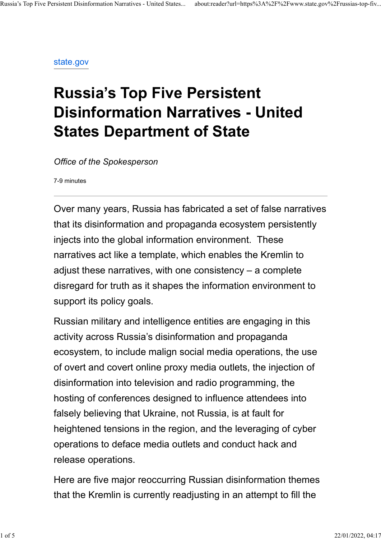state.gov

# Russia's Top Five Persistent Disinformation Narratives - United States Department of State

Office of the Spokesperson

7-9 minutes

Over many years, Russia has fabricated a set of false narratives that its disinformation and propaganda ecosystem persistently injects into the global information environment. These narratives act like a template, which enables the Kremlin to adjust these narratives, with one consistency – a complete disregard for truth as it shapes the information environment to support its policy goals.

Russian military and intelligence entities are engaging in this activity across Russia's disinformation and propaganda ecosystem, to include malign social media operations, the use of overt and covert online proxy media outlets, the injection of disinformation into television and radio programming, the hosting of conferences designed to influence attendees into falsely believing that Ukraine, not Russia, is at fault for heightened tensions in the region, and the leveraging of cyber operations to deface media outlets and conduct hack and release operations.

Here are five major reoccurring Russian disinformation themes that the Kremlin is currently readjusting in an attempt to fill the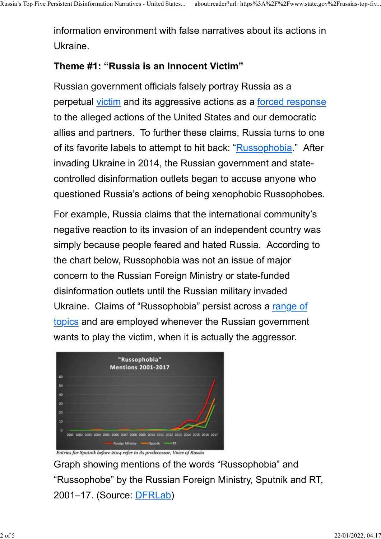information environment with false narratives about its actions in Ukraine.

#### Theme #1: "Russia is an Innocent Victim"

Russian government officials falsely portray Russia as a perpetual victim and its aggressive actions as a forced response to the alleged actions of the United States and our democratic allies and partners. To further these claims, Russia turns to one of its favorite labels to attempt to hit back: "Russophobia." After invading Ukraine in 2014, the Russian government and statecontrolled disinformation outlets began to accuse anyone who questioned Russia's actions of being xenophobic Russophobes.

For example, Russia claims that the international community's negative reaction to its invasion of an independent country was simply because people feared and hated Russia. According to the chart below, Russophobia was not an issue of major concern to the Russian Foreign Ministry or state-funded disinformation outlets until the Russian military invaded Ukraine. Claims of "Russophobia" persist across a range of topics and are employed whenever the Russian government wants to play the victim, when it is actually the aggressor.



Entries for Sputnik before 2014 refer to its predecessor, Voice of Russia

Graph showing mentions of the words "Russophobia" and "Russophobe" by the Russian Foreign Ministry, Sputnik and RT, 2001–17. (Source: DFRLab)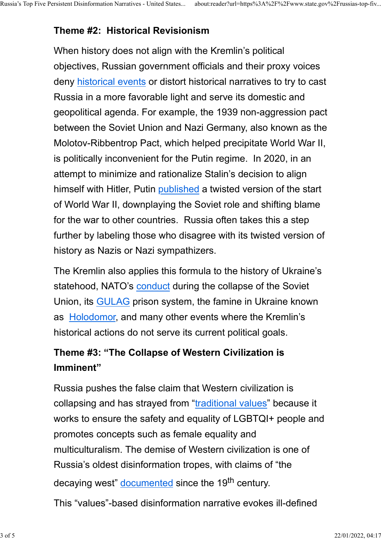## Theme #2: Historical Revisionism

When history does not align with the Kremlin's political objectives, Russian government officials and their proxy voices deny historical events or distort historical narratives to try to cast Russia in a more favorable light and serve its domestic and geopolitical agenda. For example, the 1939 non-aggression pact between the Soviet Union and Nazi Germany, also known as the Molotov-Ribbentrop Pact, which helped precipitate World War II, is politically inconvenient for the Putin regime. In 2020, in an attempt to minimize and rationalize Stalin's decision to align himself with Hitler, Putin published a twisted version of the start of World War II, downplaying the Soviet role and shifting blame for the war to other countries. Russia often takes this a step further by labeling those who disagree with its twisted version of history as Nazis or Nazi sympathizers.

The Kremlin also applies this formula to the history of Ukraine's statehood, NATO's conduct during the collapse of the Soviet Union, its GULAG prison system, the famine in Ukraine known as Holodomor, and many other events where the Kremlin's historical actions do not serve its current political goals.

## Theme #3: "The Collapse of Western Civilization is Imminent"

Russia pushes the false claim that Western civilization is collapsing and has strayed from "traditional values" because it works to ensure the safety and equality of LGBTQI+ people and promotes concepts such as female equality and multiculturalism. The demise of Western civilization is one of Russia's oldest disinformation tropes, with claims of "the decaying west" documented since the 19<sup>th</sup> century.

This "values"-based disinformation narrative evokes ill-defined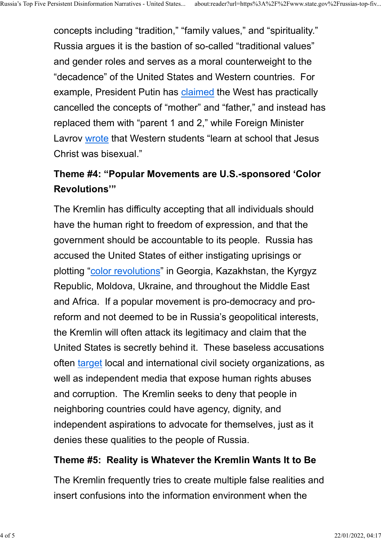concepts including "tradition," "family values," and "spirituality." Russia argues it is the bastion of so-called "traditional values" and gender roles and serves as a moral counterweight to the "decadence" of the United States and Western countries. For example, President Putin has claimed the West has practically cancelled the concepts of "mother" and "father," and instead has replaced them with "parent 1 and 2," while Foreign Minister Lavrov wrote that Western students "learn at school that Jesus Christ was bisexual."

## Theme #4: "Popular Movements are U.S.-sponsored 'Color Revolutions'"

The Kremlin has difficulty accepting that all individuals should have the human right to freedom of expression, and that the government should be accountable to its people. Russia has accused the United States of either instigating uprisings or plotting "color revolutions" in Georgia, Kazakhstan, the Kyrgyz Republic, Moldova, Ukraine, and throughout the Middle East and Africa. If a popular movement is pro-democracy and proreform and not deemed to be in Russia's geopolitical interests, the Kremlin will often attack its legitimacy and claim that the United States is secretly behind it. These baseless accusations often target local and international civil society organizations, as well as independent media that expose human rights abuses and corruption. The Kremlin seeks to deny that people in neighboring countries could have agency, dignity, and independent aspirations to advocate for themselves, just as it denies these qualities to the people of Russia.

#### Theme #5: Reality is Whatever the Kremlin Wants It to Be

The Kremlin frequently tries to create multiple false realities and insert confusions into the information environment when the